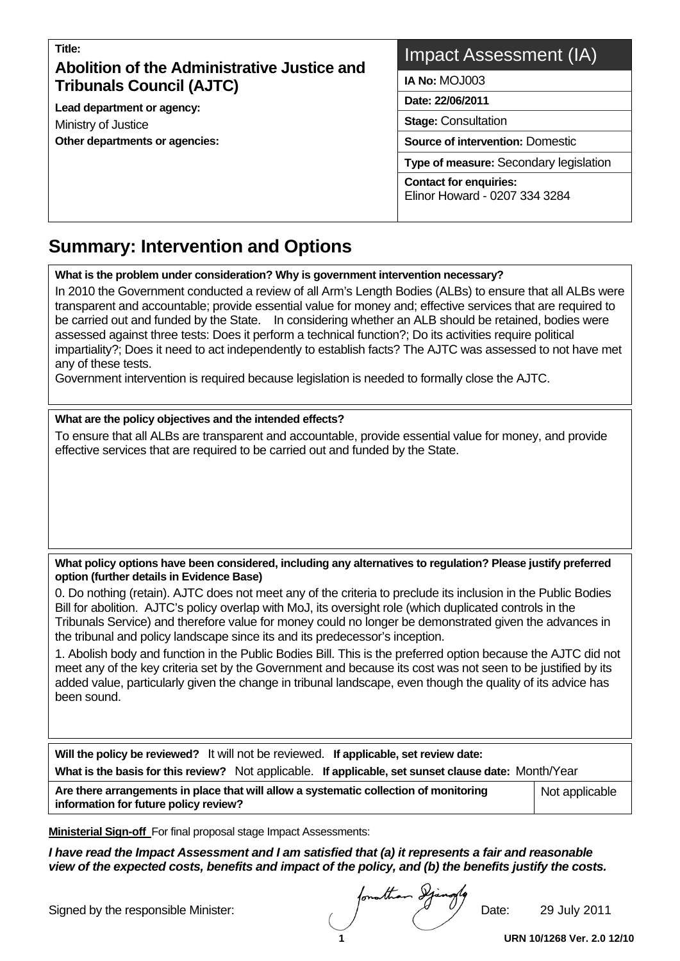## **Title: Abolition of the Administrative Justice and Tribunals Council (AJTC)**

**Lead department or agency:**  Ministry of Justice **Other departments or agencies:** 

## Impact Assessment (IA)

**IA No:** MOJ003

**Date: 22/06/2011** 

**Stage:** Consultation

**Source of intervention:** Domestic

**Type of measure:** Secondary legislation

**Contact for enquiries:** Elinor Howard - 0207 334 3284

## **Summary: Intervention and Options**   $\overline{a}$

## **What is the problem under consideration? Why is government intervention necessary?**

In 2010 the Government conducted a review of all Arm's Length Bodies (ALBs) to ensure that all ALBs were transparent and accountable; provide essential value for money and; effective services that are required to be carried out and funded by the State. In considering whether an ALB should be retained, bodies were assessed against three tests: Does it perform a technical function?; Do its activities require political impartiality?; Does it need to act independently to establish facts? The AJTC was assessed to not have met any of these tests.

Government intervention is required because legislation is needed to formally close the AJTC.

## **What are the policy objectives and the intended effects?**

To ensure that all ALBs are transparent and accountable, provide essential value for money, and provide effective services that are required to be carried out and funded by the State.

## **What policy options have been considered, including any alternatives to regulation? Please justify preferred option (further details in Evidence Base)**

0. Do nothing (retain). AJTC does not meet any of the criteria to preclude its inclusion in the Public Bodies Bill for abolition. AJTC's policy overlap with MoJ, its oversight role (which duplicated controls in the Tribunals Service) and therefore value for money could no longer be demonstrated given the advances in the tribunal and policy landscape since its and its predecessor's inception.

1. Abolish body and function in the Public Bodies Bill. This is the preferred option because the AJTC did not meet any of the key criteria set by the Government and because its cost was not seen to be justified by its added value, particularly given the change in tribunal landscape, even though the quality of its advice has been sound.

| Will the policy be reviewed? It will not be reviewed. If applicable, set review date:<br>What is the basis for this review? Not applicable. If applicable, set sunset clause date: Month/Year<br>Are there arrangements in place that will allow a systematic collection of monitoring<br>Not applicable<br>information for future policy review? |  |  |  |  |  |  |  |  |
|---------------------------------------------------------------------------------------------------------------------------------------------------------------------------------------------------------------------------------------------------------------------------------------------------------------------------------------------------|--|--|--|--|--|--|--|--|
|                                                                                                                                                                                                                                                                                                                                                   |  |  |  |  |  |  |  |  |
|                                                                                                                                                                                                                                                                                                                                                   |  |  |  |  |  |  |  |  |
|                                                                                                                                                                                                                                                                                                                                                   |  |  |  |  |  |  |  |  |

**Ministerial Sign-off** For final proposal stage Impact Assessments:

*I have read the Impact Assessment and I am satisfied that (a) it represents a fair and reasonable view of the expected costs, benefits and impact of the policy, and (b) the benefits justify the costs.* 

Signed by the responsible Minister:  $\sqrt{2}$  Date: 29 July 2011

**1 URN 10/1268 Ver. 2.0 12/10**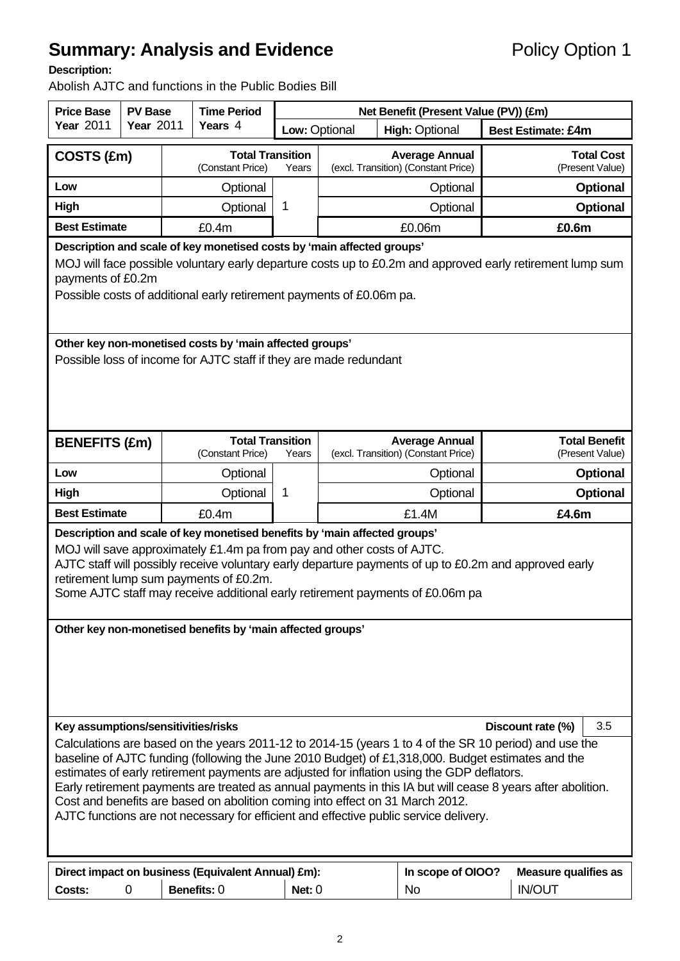# **Summary: Analysis and Evidence Policy Option 1**

## **Description:**

Abolish AJTC and functions in the Public Bodies Bill

| <b>Price Base</b>                                                                                                                                                                                                                                                                                                                                                                                                                                                                                                                                                                                 | <b>PV Base</b>   |  | <b>Time Period</b>                                                                                                                             | Net Benefit (Present Value (PV)) (£m)                                 |                                        |                                                              |                                                                                                           |                                         |  |
|---------------------------------------------------------------------------------------------------------------------------------------------------------------------------------------------------------------------------------------------------------------------------------------------------------------------------------------------------------------------------------------------------------------------------------------------------------------------------------------------------------------------------------------------------------------------------------------------------|------------------|--|------------------------------------------------------------------------------------------------------------------------------------------------|-----------------------------------------------------------------------|----------------------------------------|--------------------------------------------------------------|-----------------------------------------------------------------------------------------------------------|-----------------------------------------|--|
| <b>Year 2011</b>                                                                                                                                                                                                                                                                                                                                                                                                                                                                                                                                                                                  | <b>Year 2011</b> |  | Years 4                                                                                                                                        |                                                                       | Low: Optional<br><b>High: Optional</b> |                                                              | <b>Best Estimate: £4m</b>                                                                                 |                                         |  |
| COSTS (£m)                                                                                                                                                                                                                                                                                                                                                                                                                                                                                                                                                                                        |                  |  | <b>Total Transition</b><br>(Constant Price)                                                                                                    | <b>Average Annual</b><br>(excl. Transition) (Constant Price)<br>Years |                                        |                                                              | <b>Total Cost</b><br>(Present Value)                                                                      |                                         |  |
| Low                                                                                                                                                                                                                                                                                                                                                                                                                                                                                                                                                                                               |                  |  | Optional                                                                                                                                       |                                                                       | Optional                               |                                                              | <b>Optional</b>                                                                                           |                                         |  |
| High                                                                                                                                                                                                                                                                                                                                                                                                                                                                                                                                                                                              |                  |  | Optional                                                                                                                                       | 1                                                                     |                                        | Optional                                                     | <b>Optional</b>                                                                                           |                                         |  |
| <b>Best Estimate</b>                                                                                                                                                                                                                                                                                                                                                                                                                                                                                                                                                                              |                  |  | £0.4m                                                                                                                                          |                                                                       |                                        | £0.06m                                                       |                                                                                                           | £0.6m                                   |  |
| payments of £0.2m                                                                                                                                                                                                                                                                                                                                                                                                                                                                                                                                                                                 |                  |  | Description and scale of key monetised costs by 'main affected groups'<br>Possible costs of additional early retirement payments of £0.06m pa. |                                                                       |                                        |                                                              | MOJ will face possible voluntary early departure costs up to £0.2m and approved early retirement lump sum |                                         |  |
|                                                                                                                                                                                                                                                                                                                                                                                                                                                                                                                                                                                                   |                  |  | Other key non-monetised costs by 'main affected groups'<br>Possible loss of income for AJTC staff if they are made redundant                   |                                                                       |                                        |                                                              |                                                                                                           |                                         |  |
| <b>BENEFITS (£m)</b>                                                                                                                                                                                                                                                                                                                                                                                                                                                                                                                                                                              |                  |  | <b>Total Transition</b><br>(Constant Price)                                                                                                    | Years                                                                 |                                        | <b>Average Annual</b><br>(excl. Transition) (Constant Price) |                                                                                                           | <b>Total Benefit</b><br>(Present Value) |  |
| Low                                                                                                                                                                                                                                                                                                                                                                                                                                                                                                                                                                                               |                  |  | Optional                                                                                                                                       |                                                                       | Optional                               |                                                              |                                                                                                           | <b>Optional</b>                         |  |
| High                                                                                                                                                                                                                                                                                                                                                                                                                                                                                                                                                                                              |                  |  | Optional                                                                                                                                       | 1                                                                     |                                        | Optional                                                     |                                                                                                           | <b>Optional</b>                         |  |
| <b>Best Estimate</b>                                                                                                                                                                                                                                                                                                                                                                                                                                                                                                                                                                              |                  |  | £0.4m                                                                                                                                          |                                                                       |                                        | £1.4M                                                        |                                                                                                           | £4.6m                                   |  |
| Description and scale of key monetised benefits by 'main affected groups'<br>MOJ will save approximately £1.4m pa from pay and other costs of AJTC.<br>AJTC staff will possibly receive voluntary early departure payments of up to £0.2m and approved early<br>retirement lump sum payments of £0.2m.<br>Some AJTC staff may receive additional early retirement payments of £0.06m pa                                                                                                                                                                                                           |                  |  |                                                                                                                                                |                                                                       |                                        |                                                              |                                                                                                           |                                         |  |
| Other key non-monetised benefits by 'main affected groups'<br>Key assumptions/sensitivities/risks<br>3.5<br>Discount rate (%)                                                                                                                                                                                                                                                                                                                                                                                                                                                                     |                  |  |                                                                                                                                                |                                                                       |                                        |                                                              |                                                                                                           |                                         |  |
| Calculations are based on the years 2011-12 to 2014-15 (years 1 to 4 of the SR 10 period) and use the<br>baseline of AJTC funding (following the June 2010 Budget) of £1,318,000. Budget estimates and the<br>estimates of early retirement payments are adjusted for inflation using the GDP deflators.<br>Early retirement payments are treated as annual payments in this IA but will cease 8 years after abolition.<br>Cost and benefits are based on abolition coming into effect on 31 March 2012.<br>AJTC functions are not necessary for efficient and effective public service delivery. |                  |  |                                                                                                                                                |                                                                       |                                        |                                                              |                                                                                                           |                                         |  |
| Costs:                                                                                                                                                                                                                                                                                                                                                                                                                                                                                                                                                                                            | 0                |  | Direct impact on business (Equivalent Annual) £m):<br>Benefits: 0                                                                              | Net: $0$                                                              |                                        | In scope of OIOO?<br><b>No</b>                               | <b>IN/OUT</b>                                                                                             | <b>Measure qualifies as</b>             |  |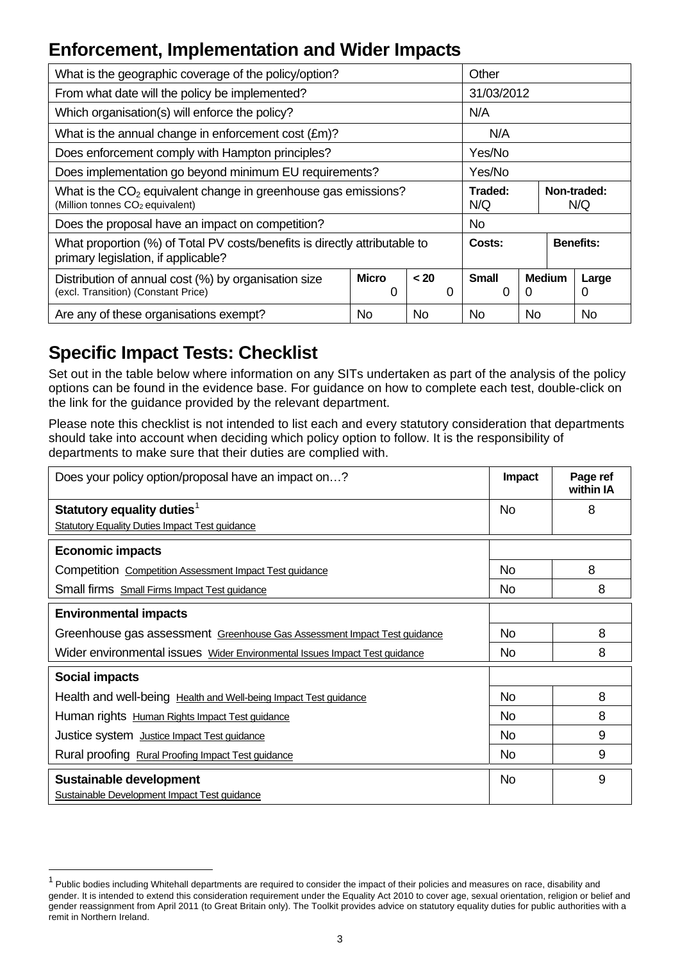# **Enforcement, Implementation and Wider Impacts**

| What is the geographic coverage of the policy/option?                                                             |                            | Other          |     |           |                    |            |  |
|-------------------------------------------------------------------------------------------------------------------|----------------------------|----------------|-----|-----------|--------------------|------------|--|
| From what date will the policy be implemented?                                                                    |                            | 31/03/2012     |     |           |                    |            |  |
| Which organisation(s) will enforce the policy?                                                                    |                            |                | N/A |           |                    |            |  |
| What is the annual change in enforcement cost $(\text{Em})$ ?                                                     |                            |                | N/A |           |                    |            |  |
| Does enforcement comply with Hampton principles?<br>Yes/No                                                        |                            |                |     |           |                    |            |  |
| Does implementation go beyond minimum EU requirements?                                                            |                            | Yes/No         |     |           |                    |            |  |
| What is the $CO2$ equivalent change in greenhouse gas emissions?<br>(Million tonnes CO <sub>2</sub> equivalent)   |                            | Traded:<br>N/Q |     |           | Non-traded:<br>N/Q |            |  |
| Does the proposal have an impact on competition?                                                                  |                            | No.            |     |           |                    |            |  |
| What proportion (%) of Total PV costs/benefits is directly attributable to<br>primary legislation, if applicable? | <b>Benefits:</b><br>Costs: |                |     |           |                    |            |  |
| Distribution of annual cost (%) by organisation size<br>(excl. Transition) (Constant Price)                       | <b>Micro</b><br>< 20<br>0  |                |     |           |                    | Large<br>0 |  |
| Are any of these organisations exempt?                                                                            | <b>No</b>                  | <b>No</b>      |     | <b>No</b> |                    |            |  |

## **Specific Impact Tests: Checklist**

l

Set out in the table below where information on any SITs undertaken as part of the analysis of the policy options can be found in the evidence base. For guidance on how to complete each test, double-click on the link for the guidance provided by the relevant department.

Please note this checklist is not intended to list each and every statutory consideration that departments should take into account when deciding which policy option to follow. It is the responsibility of departments to make sure that their duties are complied with.

| Does your policy option/proposal have an impact on?                        | Impact    | Page ref<br>within IA |
|----------------------------------------------------------------------------|-----------|-----------------------|
| Statutory equality duties <sup>1</sup>                                     | No        | 8                     |
| <b>Statutory Equality Duties Impact Test guidance</b>                      |           |                       |
| <b>Economic impacts</b>                                                    |           |                       |
| Competition Competition Assessment Impact Test guidance                    | No.       | 8                     |
| Small firms Small Firms Impact Test guidance                               | No        | 8                     |
| <b>Environmental impacts</b>                                               |           |                       |
| Greenhouse gas assessment Greenhouse Gas Assessment Impact Test guidance   | No        | 8                     |
| Wider environmental issues Wider Environmental Issues Impact Test guidance | <b>No</b> | 8                     |
| <b>Social impacts</b>                                                      |           |                       |
| Health and well-being Health and Well-being Impact Test guidance           | No        | 8                     |
| Human rights Human Rights Impact Test guidance                             | No        | 8                     |
| Justice system Justice Impact Test guidance                                | No.       | 9                     |
| Rural proofing Rural Proofing Impact Test guidance                         | No.       | 9                     |
| Sustainable development<br>Sustainable Development Impact Test guidance    | No.       | 9                     |

<span id="page-2-0"></span> $1$  Public bodies including Whitehall departments are required to consider the impact of their policies and measures on race, disability and gender. It is intended to extend this consideration requirement under the Equality Act 2010 to cover age, sexual orientation, religion or belief and gender reassignment from April 2011 (to Great Britain only). The Toolkit provides advice on statutory equality duties for public authorities with a remit in Northern Ireland.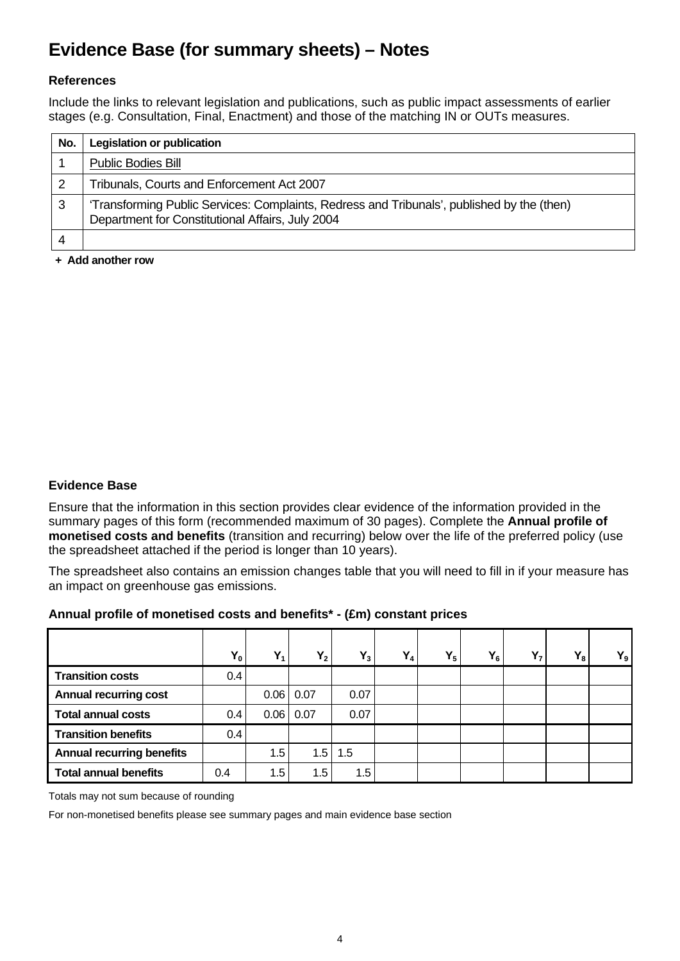## **Evidence Base (for summary sheets) – Notes**

## **References**

Include the links to relevant legislation and publications, such as public impact assessments of earlier stages (e.g. Consultation, Final, Enactment) and those of the matching IN or OUTs measures.

| No. | <b>Legislation or publication</b>                                                                                                              |
|-----|------------------------------------------------------------------------------------------------------------------------------------------------|
|     | <b>Public Bodies Bill</b>                                                                                                                      |
|     | Tribunals, Courts and Enforcement Act 2007                                                                                                     |
| 3   | 'Transforming Public Services: Complaints, Redress and Tribunals', published by the (then)<br>Department for Constitutional Affairs, July 2004 |
|     |                                                                                                                                                |

**+ Add another row** 

## **Evidence Base**

Ensure that the information in this section provides clear evidence of the information provided in the summary pages of this form (recommended maximum of 30 pages). Complete the **Annual profile of monetised costs and benefits** (transition and recurring) below over the life of the preferred policy (use the spreadsheet attached if the period is longer than 10 years).

The spreadsheet also contains an emission changes table that you will need to fill in if your measure has an impact on greenhouse gas emissions.

## **Annual profile of monetised costs and benefits\* - (£m) constant prices**

|                                  | $Y_0$         | $Y_1$ | $Y_2$ | $Y_3$ | $Y_4$ | $Y_5$ | $Y_6$ | $Y_7$ | $Y_8$ | $Y_9$ |
|----------------------------------|---------------|-------|-------|-------|-------|-------|-------|-------|-------|-------|
| <b>Transition costs</b>          | 0.4           |       |       |       |       |       |       |       |       |       |
| <b>Annual recurring cost</b>     |               | 0.06  | 0.07  | 0.07  |       |       |       |       |       |       |
| <b>Total annual costs</b>        | $0.4^{\circ}$ | 0.06  | 0.07  | 0.07  |       |       |       |       |       |       |
| <b>Transition benefits</b>       | 0.4           |       |       |       |       |       |       |       |       |       |
| <b>Annual recurring benefits</b> |               | 1.5   | 1.5   | 1.5   |       |       |       |       |       |       |
| <b>Total annual benefits</b>     | 0.4           | 1.5   | 1.5   | 1.5   |       |       |       |       |       |       |

Totals may not sum because of rounding

For non-monetised benefits please see summary pages and main evidence base section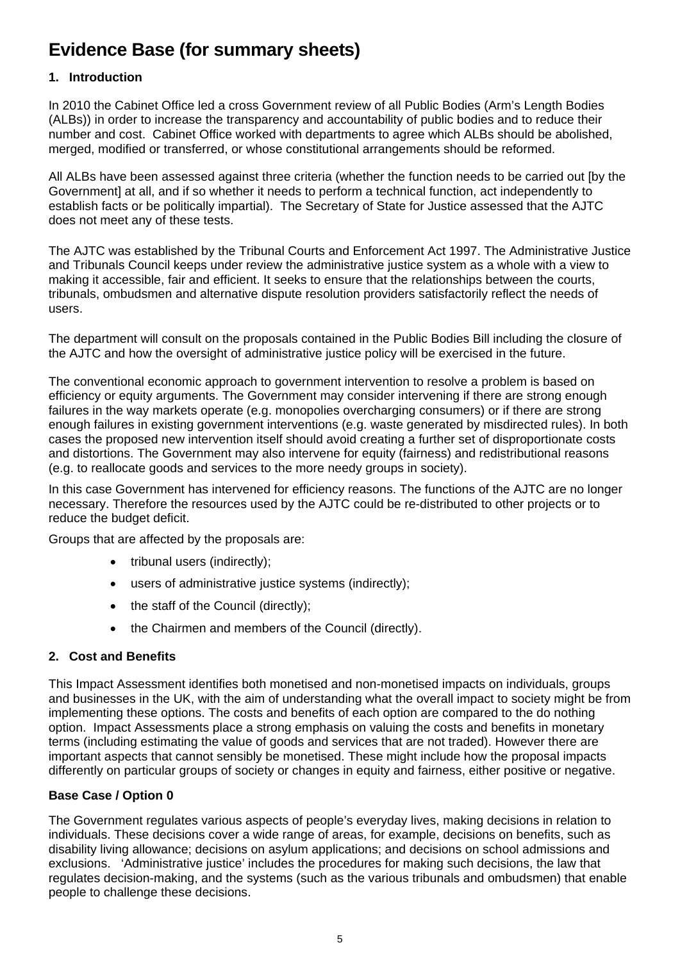## **Evidence Base (for summary sheets)**

## **1. Introduction**

In 2010 the Cabinet Office led a cross Government review of all Public Bodies (Arm's Length Bodies (ALBs)) in order to increase the transparency and accountability of public bodies and to reduce their number and cost. Cabinet Office worked with departments to agree which ALBs should be abolished, merged, modified or transferred, or whose constitutional arrangements should be reformed.

All ALBs have been assessed against three criteria (whether the function needs to be carried out [by the Government] at all, and if so whether it needs to perform a technical function, act independently to establish facts or be politically impartial). The Secretary of State for Justice assessed that the AJTC does not meet any of these tests.

The AJTC was established by the Tribunal Courts and Enforcement Act 1997. The Administrative Justice and Tribunals Council keeps under review the administrative justice system as a whole with a view to making it accessible, fair and efficient. It seeks to ensure that the relationships between the courts, tribunals, ombudsmen and alternative dispute resolution providers satisfactorily reflect the needs of users.

The department will consult on the proposals contained in the Public Bodies Bill including the closure of the AJTC and how the oversight of administrative justice policy will be exercised in the future.

The conventional economic approach to government intervention to resolve a problem is based on efficiency or equity arguments. The Government may consider intervening if there are strong enough failures in the way markets operate (e.g. monopolies overcharging consumers) or if there are strong enough failures in existing government interventions (e.g. waste generated by misdirected rules). In both cases the proposed new intervention itself should avoid creating a further set of disproportionate costs and distortions. The Government may also intervene for equity (fairness) and redistributional reasons (e.g. to reallocate goods and services to the more needy groups in society).

In this case Government has intervened for efficiency reasons. The functions of the AJTC are no longer necessary. Therefore the resources used by the AJTC could be re-distributed to other projects or to reduce the budget deficit.

Groups that are affected by the proposals are:

- tribunal users (indirectly):
- users of administrative justice systems (indirectly);
- the staff of the Council (directly);
- the Chairmen and members of the Council (directly).

## **2. Cost and Benefits**

This Impact Assessment identifies both monetised and non-monetised impacts on individuals, groups and businesses in the UK, with the aim of understanding what the overall impact to society might be from implementing these options. The costs and benefits of each option are compared to the do nothing option. Impact Assessments place a strong emphasis on valuing the costs and benefits in monetary terms (including estimating the value of goods and services that are not traded). However there are important aspects that cannot sensibly be monetised. These might include how the proposal impacts differently on particular groups of society or changes in equity and fairness, either positive or negative.

## **Base Case / Option 0**

The Government regulates various aspects of people's everyday lives, making decisions in relation to individuals. These decisions cover a wide range of areas, for example, decisions on benefits, such as disability living allowance; decisions on asylum applications; and decisions on school admissions and exclusions. 'Administrative justice' includes the procedures for making such decisions, the law that regulates decision-making, and the systems (such as the various tribunals and ombudsmen) that enable people to challenge these decisions.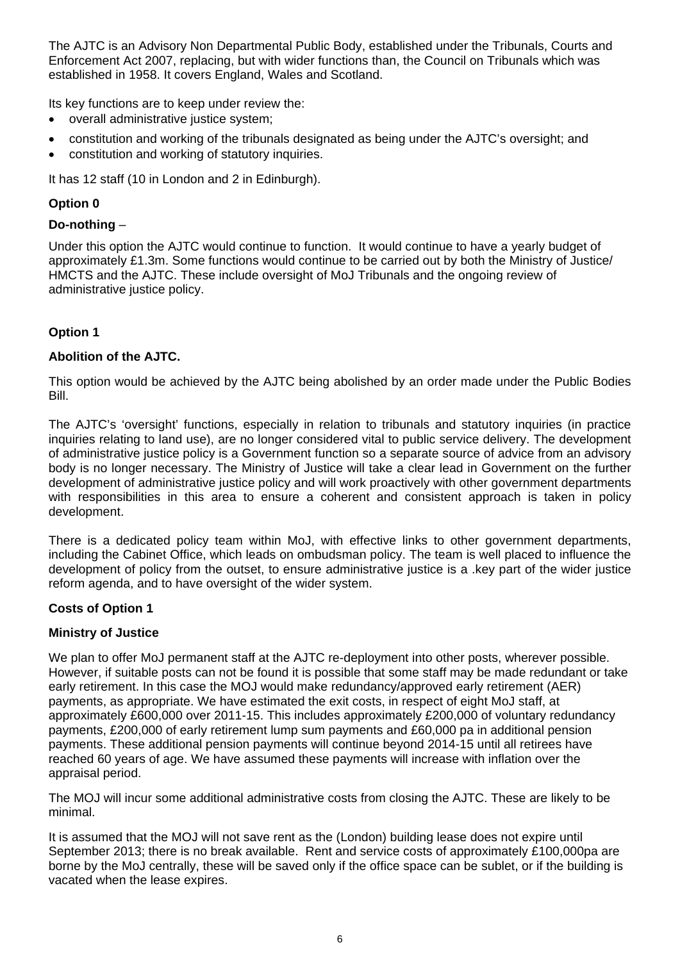The AJTC is an Advisory Non Departmental Public Body, established under the Tribunals, Courts and Enforcement Act 2007, replacing, but with wider functions than, the Council on Tribunals which was established in 1958. It covers England, Wales and Scotland.

Its key functions are to keep under review the:

- overall administrative justice system;
- constitution and working of the tribunals designated as being under the AJTC's oversight; and
- constitution and working of statutory inquiries.

It has 12 staff (10 in London and 2 in Edinburgh).

## **Option 0**

## **Do-nothing** –

Under this option the AJTC would continue to function. It would continue to have a yearly budget of approximately £1.3m. Some functions would continue to be carried out by both the Ministry of Justice/ HMCTS and the AJTC. These include oversight of MoJ Tribunals and the ongoing review of administrative justice policy.

## **Option 1**

## **Abolition of the AJTC.**

This option would be achieved by the AJTC being abolished by an order made under the Public Bodies Bill.

The AJTC's 'oversight' functions, especially in relation to tribunals and statutory inquiries (in practice inquiries relating to land use), are no longer considered vital to public service delivery. The development of administrative justice policy is a Government function so a separate source of advice from an advisory body is no longer necessary. The Ministry of Justice will take a clear lead in Government on the further development of administrative justice policy and will work proactively with other government departments with responsibilities in this area to ensure a coherent and consistent approach is taken in policy development.

There is a dedicated policy team within MoJ, with effective links to other government departments, including the Cabinet Office, which leads on ombudsman policy. The team is well placed to influence the development of policy from the outset, to ensure administrative justice is a , key part of the wider justice reform agenda, and to have oversight of the wider system.

## **Costs of Option 1**

## **Ministry of Justice**

We plan to offer MoJ permanent staff at the AJTC re-deployment into other posts, wherever possible. However, if suitable posts can not be found it is possible that some staff may be made redundant or take early retirement. In this case the MOJ would make redundancy/approved early retirement (AER) payments, as appropriate. We have estimated the exit costs, in respect of eight MoJ staff, at approximately £600,000 over 2011-15. This includes approximately £200,000 of voluntary redundancy payments, £200,000 of early retirement lump sum payments and £60,000 pa in additional pension payments. These additional pension payments will continue beyond 2014-15 until all retirees have reached 60 years of age. We have assumed these payments will increase with inflation over the appraisal period.

The MOJ will incur some additional administrative costs from closing the AJTC. These are likely to be minimal.

It is assumed that the MOJ will not save rent as the (London) building lease does not expire until September 2013; there is no break available. Rent and service costs of approximately £100,000pa are borne by the MoJ centrally, these will be saved only if the office space can be sublet, or if the building is vacated when the lease expires.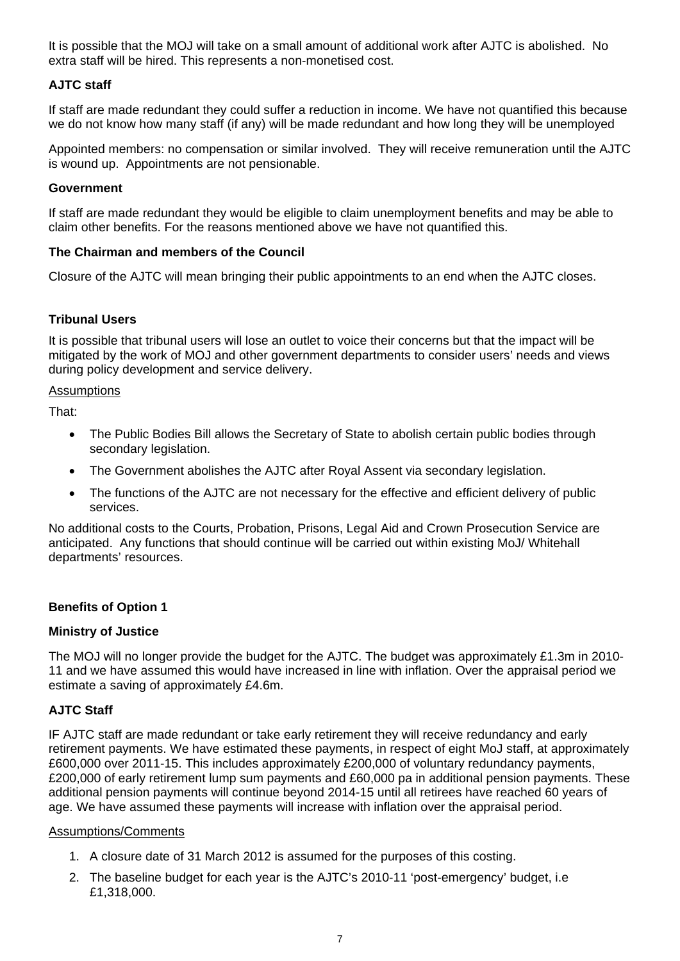It is possible that the MOJ will take on a small amount of additional work after AJTC is abolished. No extra staff will be hired. This represents a non-monetised cost.

## **AJTC staff**

If staff are made redundant they could suffer a reduction in income. We have not quantified this because we do not know how many staff (if any) will be made redundant and how long they will be unemployed

Appointed members: no compensation or similar involved. They will receive remuneration until the AJTC is wound up. Appointments are not pensionable.

#### **Government**

If staff are made redundant they would be eligible to claim unemployment benefits and may be able to claim other benefits. For the reasons mentioned above we have not quantified this.

#### **The Chairman and members of the Council**

Closure of the AJTC will mean bringing their public appointments to an end when the AJTC closes.

## **Tribunal Users**

It is possible that tribunal users will lose an outlet to voice their concerns but that the impact will be mitigated by the work of MOJ and other government departments to consider users' needs and views during policy development and service delivery.

#### Assumptions

That:

- The Public Bodies Bill allows the Secretary of State to abolish certain public bodies through secondary legislation.
- The Government abolishes the AJTC after Royal Assent via secondary legislation.
- The functions of the AJTC are not necessary for the effective and efficient delivery of public services.

No additional costs to the Courts, Probation, Prisons, Legal Aid and Crown Prosecution Service are anticipated. Any functions that should continue will be carried out within existing MoJ/ Whitehall departments' resources.

#### **Benefits of Option 1**

#### **Ministry of Justice**

The MOJ will no longer provide the budget for the AJTC. The budget was approximately £1.3m in 2010- 11 and we have assumed this would have increased in line with inflation. Over the appraisal period we estimate a saving of approximately £4.6m.

## **AJTC Staff**

IF AJTC staff are made redundant or take early retirement they will receive redundancy and early retirement payments. We have estimated these payments, in respect of eight MoJ staff, at approximately £600,000 over 2011-15. This includes approximately £200,000 of voluntary redundancy payments, £200,000 of early retirement lump sum payments and £60,000 pa in additional pension payments. These additional pension payments will continue beyond 2014-15 until all retirees have reached 60 years of age. We have assumed these payments will increase with inflation over the appraisal period.

#### Assumptions/Comments

- 1. A closure date of 31 March 2012 is assumed for the purposes of this costing.
- 2. The baseline budget for each year is the AJTC's 2010-11 'post-emergency' budget, i.e £1,318,000.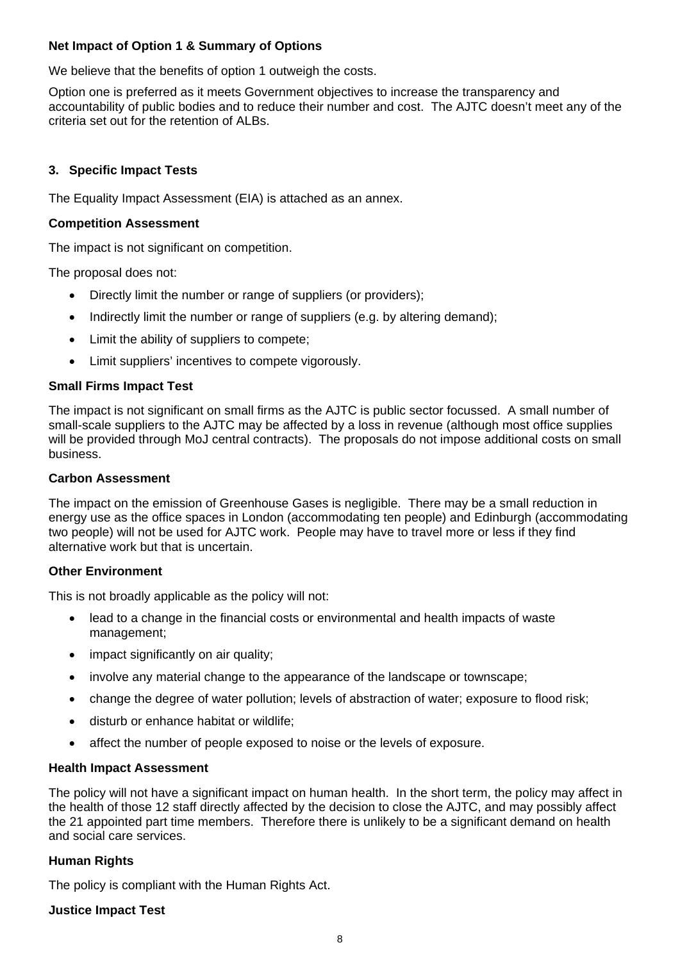## **Net Impact of Option 1 & Summary of Options**

We believe that the benefits of option 1 outweigh the costs.

Option one is preferred as it meets Government objectives to increase the transparency and accountability of public bodies and to reduce their number and cost. The AJTC doesn't meet any of the criteria set out for the retention of ALBs.

#### **3. Specific Impact Tests**

The Equality Impact Assessment (EIA) is attached as an annex.

#### **Competition Assessment**

The impact is not significant on competition.

The proposal does not:

- Directly limit the number or range of suppliers (or providers);
- Indirectly limit the number or range of suppliers (e.g. by altering demand);
- Limit the ability of suppliers to compete:
- Limit suppliers' incentives to compete vigorously.

#### **Small Firms Impact Test**

The impact is not significant on small firms as the AJTC is public sector focussed. A small number of small-scale suppliers to the AJTC may be affected by a loss in revenue (although most office supplies will be provided through MoJ central contracts).The proposals do not impose additional costs on small business.

#### **Carbon Assessment**

The impact on the emission of Greenhouse Gases is negligible. There may be a small reduction in energy use as the office spaces in London (accommodating ten people) and Edinburgh (accommodating two people) will not be used for AJTC work. People may have to travel more or less if they find alternative work but that is uncertain.

#### **Other Environment**

This is not broadly applicable as the policy will not:

- lead to a change in the financial costs or environmental and health impacts of waste management;
- impact significantly on air quality;
- involve any material change to the appearance of the landscape or townscape;
- change the degree of water pollution; levels of abstraction of water; exposure to flood risk;
- disturb or enhance habitat or wildlife;
- affect the number of people exposed to noise or the levels of exposure.

#### **Health Impact Assessment**

The policy will not have a significant impact on human health. In the short term, the policy may affect in the health of those 12 staff directly affected by the decision to close the AJTC, and may possibly affect the 21 appointed part time members. Therefore there is unlikely to be a significant demand on health and social care services.

#### **Human Rights**

The policy is compliant with the Human Rights Act.

**Justice Impact Test**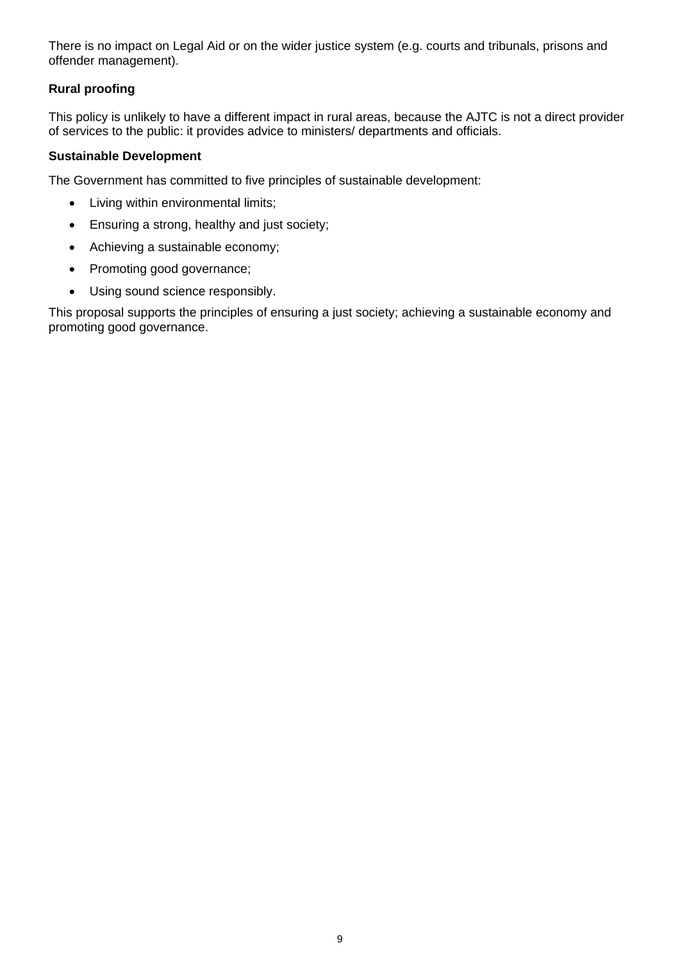There is no impact on Legal Aid or on the wider justice system (e.g. courts and tribunals, prisons and offender management).

## **Rural proofing**

This policy is unlikely to have a different impact in rural areas, because the AJTC is not a direct provider of services to the public: it provides advice to ministers/ departments and officials.

## **Sustainable Development**

The Government has committed to five principles of sustainable development:

- Living within environmental limits;
- Ensuring a strong, healthy and just society;
- Achieving a sustainable economy;
- Promoting good governance;
- Using sound science responsibly.

This proposal supports the principles of ensuring a just society; achieving a sustainable economy and promoting good governance.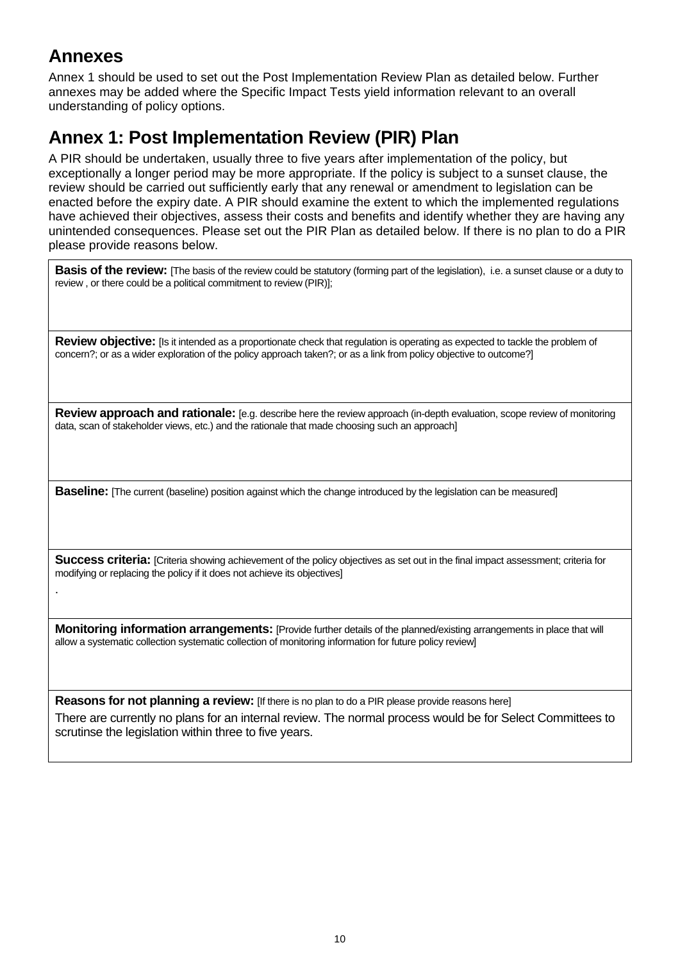## **Annexes**

.

Annex 1 should be used to set out the Post Implementation Review Plan as detailed below. Further annexes may be added where the Specific Impact Tests yield information relevant to an overall understanding of policy options.

## **Annex 1: Post Implementation Review (PIR) Plan**

A PIR should be undertaken, usually three to five years after implementation of the policy, but exceptionally a longer period may be more appropriate. If the policy is subject to a sunset clause, the review should be carried out sufficiently early that any renewal or amendment to legislation can be enacted before the expiry date. A PIR should examine the extent to which the implemented regulations have achieved their objectives, assess their costs and benefits and identify whether they are having any unintended consequences. Please set out the PIR Plan as detailed below. If there is no plan to do a PIR please provide reasons below.

**Basis of the review:** [The basis of the review could be statutory (forming part of the legislation), i.e. a sunset clause or a duty to review , or there could be a political commitment to review (PIR)];

**Review objective:** [Is it intended as a proportionate check that regulation is operating as expected to tackle the problem of concern?; or as a wider exploration of the policy approach taken?; or as a link from policy objective to outcome?]

**Review approach and rationale:** [e.g. describe here the review approach (in-depth evaluation, scope review of monitoring data, scan of stakeholder views, etc.) and the rationale that made choosing such an approach]

**Baseline:** [The current (baseline) position against which the change introduced by the legislation can be measured]

**Success criteria:** [Criteria showing achievement of the policy objectives as set out in the final impact assessment; criteria for modifying or replacing the policy if it does not achieve its objectives]

**Monitoring information arrangements:** [Provide further details of the planned/existing arrangements in place that will allow a systematic collection systematic collection of monitoring information for future policy review]

**Reasons for not planning a review:** [If there is no plan to do a PIR please provide reasons here] There are currently no plans for an internal review. The normal process would be for Select Committees to scrutinse the legislation within three to five years.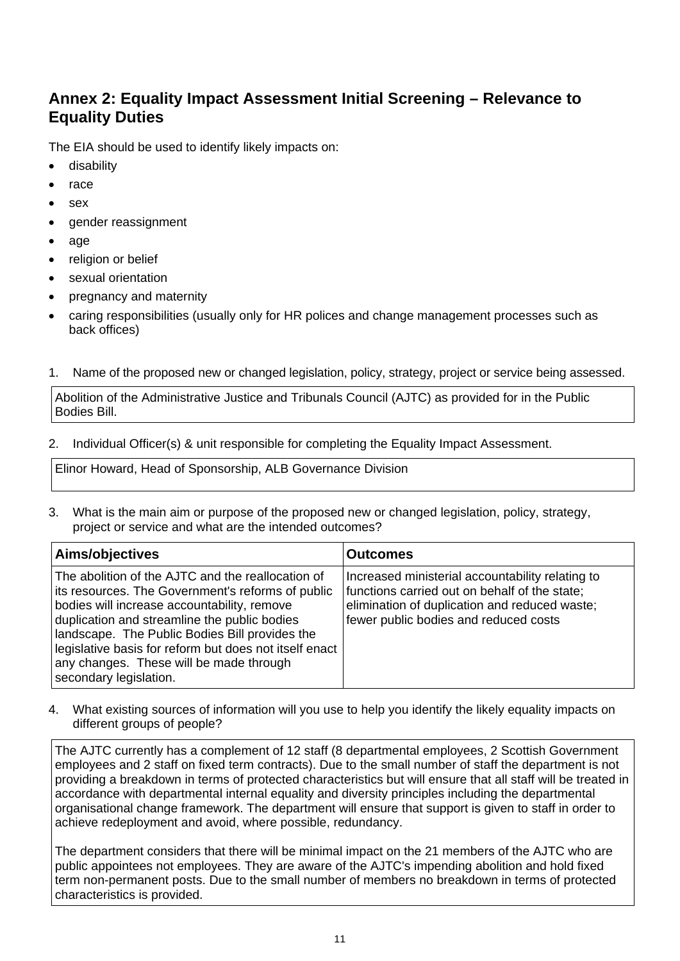## **Annex 2: Equality Impact Assessment Initial Screening – Relevance to Equality Duties**

The EIA should be used to identify likely impacts on:

- disability
- race
- sex
- gender reassignment
- age
- religion or belief
- sexual orientation
- pregnancy and maternity
- caring responsibilities (usually only for HR polices and change management processes such as back offices)
- 1. Name of the proposed new or changed legislation, policy, strategy, project or service being assessed.

Abolition of the Administrative Justice and Tribunals Council (AJTC) as provided for in the Public Bodies Bill.

2. Individual Officer(s) & unit responsible for completing the Equality Impact Assessment.

Elinor Howard, Head of Sponsorship, ALB Governance Division

3. What is the main aim or purpose of the proposed new or changed legislation, policy, strategy, project or service and what are the intended outcomes?

| Aims/objectives                                                                                                                                                                                                                                                                                                                                                                        | <b>Outcomes</b>                                                                                                                                                                             |
|----------------------------------------------------------------------------------------------------------------------------------------------------------------------------------------------------------------------------------------------------------------------------------------------------------------------------------------------------------------------------------------|---------------------------------------------------------------------------------------------------------------------------------------------------------------------------------------------|
| The abolition of the AJTC and the reallocation of<br>its resources. The Government's reforms of public<br>bodies will increase accountability, remove<br>duplication and streamline the public bodies<br>landscape. The Public Bodies Bill provides the<br>legislative basis for reform but does not itself enact<br>any changes. These will be made through<br>secondary legislation. | Increased ministerial accountability relating to<br>functions carried out on behalf of the state;<br>elimination of duplication and reduced waste;<br>fewer public bodies and reduced costs |

4. What existing sources of information will you use to help you identify the likely equality impacts on different groups of people?

The AJTC currently has a complement of 12 staff (8 departmental employees, 2 Scottish Government employees and 2 staff on fixed term contracts). Due to the small number of staff the department is not providing a breakdown in terms of protected characteristics but will ensure that all staff will be treated in accordance with departmental internal equality and diversity principles including the departmental organisational change framework. The department will ensure that support is given to staff in order to achieve redeployment and avoid, where possible, redundancy.

The department considers that there will be minimal impact on the 21 members of the AJTC who are public appointees not employees. They are aware of the AJTC's impending abolition and hold fixed term non-permanent posts. Due to the small number of members no breakdown in terms of protected characteristics is provided.